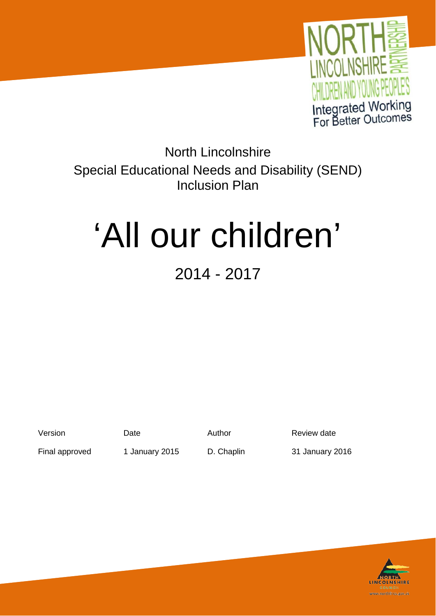

North Lincolnshire Special Educational Needs and Disability (SEND) Inclusion Plan

# 'All our children'

# 2014 - 2017

Version **Date** Date Author **Review date** 

Final approved 1 January 2015 D. Chaplin 31 January 2016

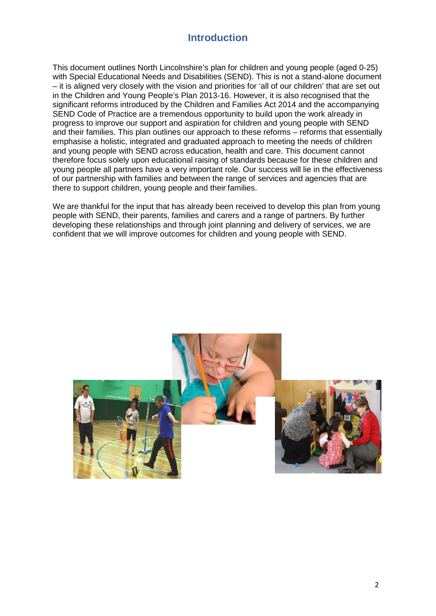## **Introduction**

This document outlines North Lincolnshire's plan for children and young people (aged 0-25) with Special Educational Needs and Disabilities (SEND). This is not a stand-alone document – it is aligned very closely with the vision and priorities for 'all of our children' that are set out in the Children and Young People's Plan 2013-16. However, it is also recognised that the significant reforms introduced by the Children and Families Act 2014 and the accompanying SEND Code of Practice are a tremendous opportunity to build upon the work already in progress to improve our support and aspiration for children and young people with SEND and their families. This plan outlines our approach to these reforms – reforms that essentially emphasise a holistic, integrated and graduated approach to meeting the needs of children and young people with SEND across education, health and care. This document cannot therefore focus solely upon educational raising of standards because for these children and young people all partners have a very important role. Our success will lie in the effectiveness of our partnership with families and between the range of services and agencies that are there to support children, young people and their families.

We are thankful for the input that has already been received to develop this plan from young people with SEND, their parents, families and carers and a range of partners. By further developing these relationships and through joint planning and delivery of services, we are confident that we will improve outcomes for children and young people with SEND.

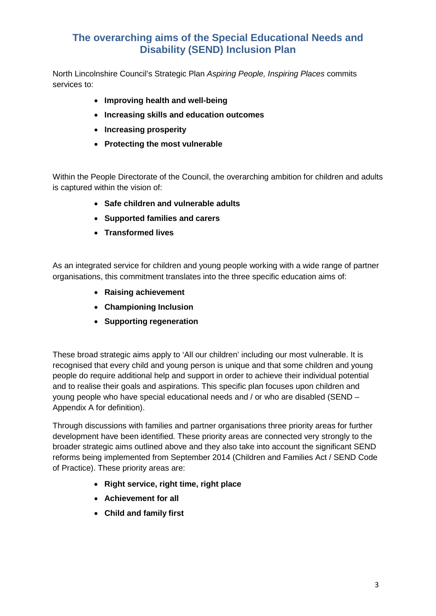## **The overarching aims of the Special Educational Needs and Disability (SEND) Inclusion Plan**

North Lincolnshire Council's Strategic Plan *Aspiring People, Inspiring Places* commits services to:

- **Improving health and well-being**
- **Increasing skills and education outcomes**
- **Increasing prosperity**
- **Protecting the most vulnerable**

Within the People Directorate of the Council, the overarching ambition for children and adults is captured within the vision of:

- **Safe children and vulnerable adults**
- **Supported families and carers**
- **Transformed lives**

As an integrated service for children and young people working with a wide range of partner organisations, this commitment translates into the three specific education aims of:

- **Raising achievement**
- **Championing Inclusion**
- **Supporting regeneration**

These broad strategic aims apply to 'All our children' including our most vulnerable. It is recognised that every child and young person is unique and that some children and young people do require additional help and support in order to achieve their individual potential and to realise their goals and aspirations. This specific plan focuses upon children and young people who have special educational needs and / or who are disabled (SEND – Appendix A for definition).

Through discussions with families and partner organisations three priority areas for further development have been identified. These priority areas are connected very strongly to the broader strategic aims outlined above and they also take into account the significant SEND reforms being implemented from September 2014 (Children and Families Act / SEND Code of Practice). These priority areas are:

- **Right service, right time, right place**
- **Achievement for all**
- **Child and family first**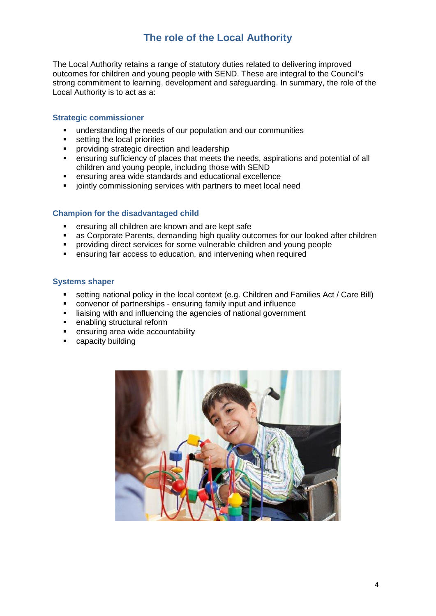## **The role of the Local Authority**

The Local Authority retains a range of statutory duties related to delivering improved outcomes for children and young people with SEND. These are integral to the Council's strong commitment to learning, development and safeguarding. In summary, the role of the Local Authority is to act as a:

#### **Strategic commissioner**

- **understanding the needs of our population and our communities**
- setting the local priorities
- **•** providing strategic direction and leadership
- ensuring sufficiency of places that meets the needs, aspirations and potential of all children and young people, including those with SEND
- ensuring area wide standards and educational excellence
- $\blacksquare$  jointly commissioning services with partners to meet local need

#### **Champion for the disadvantaged child**

- ensuring all children are known and are kept safe
- as Corporate Parents, demanding high quality outcomes for our looked after children
- providing direct services for some vulnerable children and young people
- ensuring fair access to education, and intervening when required

#### **Systems shaper**

- **setting national policy in the local context (e.g. Children and Families Act / Care Bill)**
- convenor of partnerships ensuring family input and influence
- liaising with and influencing the agencies of national government
- **enabling structural reform**<br>**e** ensuring area wide account
- ensuring area wide accountability
- capacity building

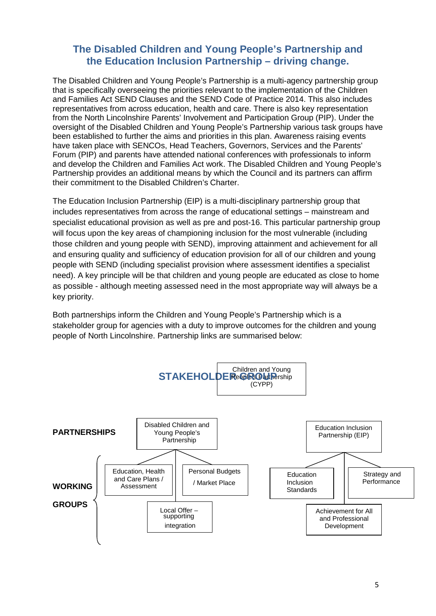### **The Disabled Children and Young People's Partnership and the Education Inclusion Partnership – driving change.**

The Disabled Children and Young People's Partnership is a multi-agency partnership group that is specifically overseeing the priorities relevant to the implementation of the Children and Families Act SEND Clauses and the SEND Code of Practice 2014. This also includes representatives from across education, health and care. There is also key representation from the North Lincolnshire Parents' Involvement and Participation Group (PIP). Under the oversight of the Disabled Children and Young People's Partnership various task groups have been established to further the aims and priorities in this plan. Awareness raising events have taken place with SENCOs, Head Teachers, Governors, Services and the Parents' Forum (PIP) and parents have attended national conferences with professionals to inform and develop the Children and Families Act work. The Disabled Children and Young People's Partnership provides an additional means by which the Council and its partners can affirm their commitment to the Disabled Children's Charter.

The Education Inclusion Partnership (EIP) is a multi-disciplinary partnership group that includes representatives from across the range of educational settings – mainstream and specialist educational provision as well as pre and post-16. This particular partnership group will focus upon the key areas of championing inclusion for the most vulnerable (including those children and young people with SEND), improving attainment and achievement for all and ensuring quality and sufficiency of education provision for all of our children and young people with SEND (including specialist provision where assessment identifies a specialist need). A key principle will be that children and young people are educated as close to home as possible - although meeting assessed need in the most appropriate way will always be a key priority.

Both partnerships inform the Children and Young People's Partnership which is a stakeholder group for agencies with a duty to improve outcomes for the children and young people of North Lincolnshire. Partnership links are summarised below:

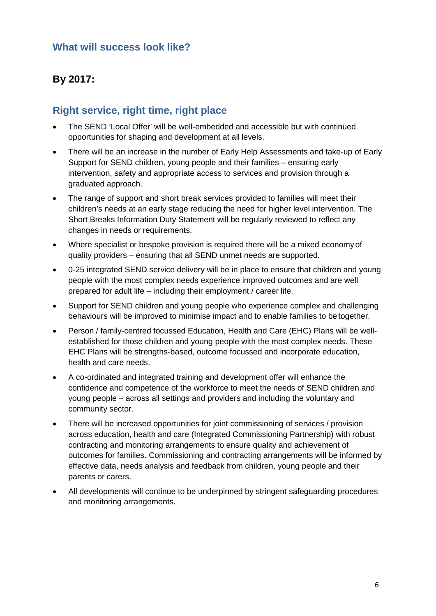## **What will success look like?**

## **By 2017:**

## **Right service, right time, right place**

- The SEND 'Local Offer' will be well-embedded and accessible but with continued opportunities for shaping and development at all levels.
- There will be an increase in the number of Early Help Assessments and take-up of Early Support for SEND children, young people and their families – ensuring early intervention, safety and appropriate access to services and provision through a graduated approach.
- The range of support and short break services provided to families will meet their children's needs at an early stage reducing the need for higher level intervention. The Short Breaks Information Duty Statement will be regularly reviewed to reflect any changes in needs or requirements.
- Where specialist or bespoke provision is required there will be a mixed economyof quality providers – ensuring that all SEND unmet needs are supported.
- 0-25 integrated SEND service delivery will be in place to ensure that children and young people with the most complex needs experience improved outcomes and are well prepared for adult life – including their employment / career life.
- Support for SEND children and young people who experience complex and challenging behaviours will be improved to minimise impact and to enable families to be together.
- Person / family-centred focussed Education, Health and Care (EHC) Plans will be wellestablished for those children and young people with the most complex needs. These EHC Plans will be strengths-based, outcome focussed and incorporate education, health and care needs.
- A co-ordinated and integrated training and development offer will enhance the confidence and competence of the workforce to meet the needs of SEND children and young people – across all settings and providers and including the voluntary and community sector.
- There will be increased opportunities for joint commissioning of services / provision across education, health and care (Integrated Commissioning Partnership) with robust contracting and monitoring arrangements to ensure quality and achievement of outcomes for families. Commissioning and contracting arrangements will be informed by effective data, needs analysis and feedback from children, young people and their parents or carers.
- All developments will continue to be underpinned by stringent safeguarding procedures and monitoring arrangements.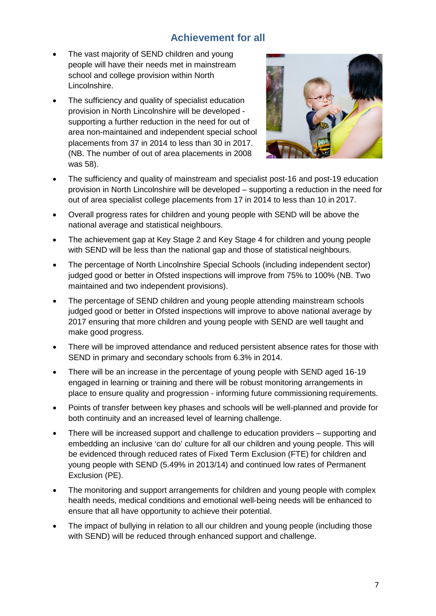## **Achievement for all**

- The vast majority of SEND children and young people will have their needs met in mainstream school and college provision within North Lincolnshire.
- The sufficiency and quality of specialist education provision in North Lincolnshire will be developed supporting a further reduction in the need for out of area non-maintained and independent special school placements from 37 in 2014 to less than 30 in 2017. (NB. The number of out of area placements in 2008 was 58).



- The sufficiency and quality of mainstream and specialist post-16 and post-19 education provision in North Lincolnshire will be developed – supporting a reduction in the need for out of area specialist college placements from 17 in 2014 to less than 10 in 2017.
- Overall progress rates for children and young people with SEND will be above the national average and statistical neighbours.
- The achievement gap at Key Stage 2 and Key Stage 4 for children and young people with SEND will be less than the national gap and those of statistical neighbours.
- The percentage of North Lincolnshire Special Schools (including independent sector) judged good or better in Ofsted inspections will improve from 75% to 100% (NB. Two maintained and two independent provisions).
- The percentage of SEND children and young people attending mainstream schools judged good or better in Ofsted inspections will improve to above national average by 2017 ensuring that more children and young people with SEND are well taught and make good progress.
- There will be improved attendance and reduced persistent absence rates for those with SEND in primary and secondary schools from 6.3% in 2014.
- There will be an increase in the percentage of young people with SEND aged 16-19 engaged in learning or training and there will be robust monitoring arrangements in place to ensure quality and progression - informing future commissioning requirements.
- Points of transfer between key phases and schools will be well-planned and provide for both continuity and an increased level of learning challenge.
- There will be increased support and challenge to education providers supporting and embedding an inclusive 'can do' culture for all our children and young people. This will be evidenced through reduced rates of Fixed Term Exclusion (FTE) for children and young people with SEND (5.49% in 2013/14) and continued low rates of Permanent Exclusion (PE).
- The monitoring and support arrangements for children and young people with complex health needs, medical conditions and emotional well-being needs will be enhanced to ensure that all have opportunity to achieve their potential.
- The impact of bullying in relation to all our children and young people (including those with SEND) will be reduced through enhanced support and challenge.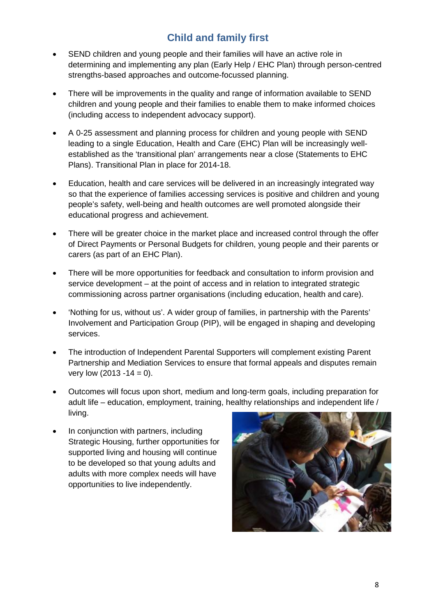## **Child and family first**

- SEND children and young people and their families will have an active role in determining and implementing any plan (Early Help / EHC Plan) through person-centred strengths-based approaches and outcome-focussed planning.
- There will be improvements in the quality and range of information available to SEND children and young people and their families to enable them to make informed choices (including access to independent advocacy support).
- A 0-25 assessment and planning process for children and young people with SEND leading to a single Education, Health and Care (EHC) Plan will be increasingly wellestablished as the 'transitional plan' arrangements near a close (Statements to EHC Plans). Transitional Plan in place for 2014-18.
- Education, health and care services will be delivered in an increasingly integrated way so that the experience of families accessing services is positive and children and young people's safety, well-being and health outcomes are well promoted alongside their educational progress and achievement.
- There will be greater choice in the market place and increased control through the offer of Direct Payments or Personal Budgets for children, young people and their parents or carers (as part of an EHC Plan).
- There will be more opportunities for feedback and consultation to inform provision and service development – at the point of access and in relation to integrated strategic commissioning across partner organisations (including education, health and care).
- 'Nothing for us, without us'. A wider group of families, in partnership with the Parents' Involvement and Participation Group (PIP), will be engaged in shaping and developing services.
- The introduction of Independent Parental Supporters will complement existing Parent Partnership and Mediation Services to ensure that formal appeals and disputes remain very low  $(2013 - 14 = 0)$ .
- Outcomes will focus upon short, medium and long-term goals, including preparation for adult life – education, employment, training, healthy relationships and independent life / living.
- In conjunction with partners, including Strategic Housing, further opportunities for supported living and housing will continue to be developed so that young adults and adults with more complex needs will have opportunities to live independently.

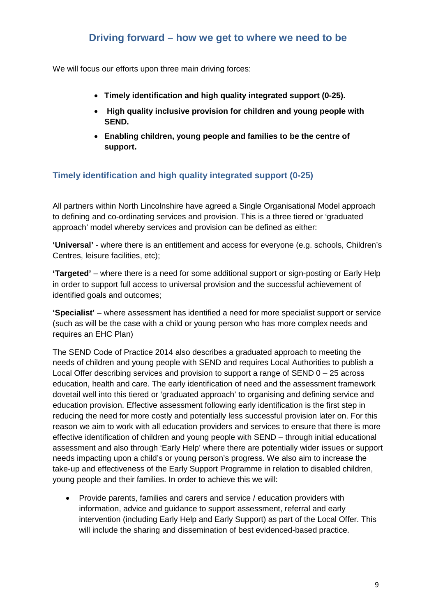## **Driving forward – how we get to where we need to be**

We will focus our efforts upon three main driving forces:

- **Timely identification and high quality integrated support (0-25).**
- **High quality inclusive provision for children and young people with SEND.**
- **Enabling children, young people and families to be the centre of support.**

#### **Timely identification and high quality integrated support (0-25)**

All partners within North Lincolnshire have agreed a Single Organisational Model approach to defining and co-ordinating services and provision. This is a three tiered or 'graduated approach' model whereby services and provision can be defined as either:

**'Universal'** - where there is an entitlement and access for everyone (e.g. schools, Children's Centres, leisure facilities, etc);

**'Targeted'** – where there is a need for some additional support or sign-posting or Early Help in order to support full access to universal provision and the successful achievement of identified goals and outcomes;

**'Specialist'** – where assessment has identified a need for more specialist support or service (such as will be the case with a child or young person who has more complex needs and requires an EHC Plan)

The SEND Code of Practice 2014 also describes a graduated approach to meeting the needs of children and young people with SEND and requires Local Authorities to publish a Local Offer describing services and provision to support a range of  $SEND 0 - 25$  across education, health and care. The early identification of need and the assessment framework dovetail well into this tiered or 'graduated approach' to organising and defining service and education provision. Effective assessment following early identification is the first step in reducing the need for more costly and potentially less successful provision later on. For this reason we aim to work with all education providers and services to ensure that there is more effective identification of children and young people with SEND – through initial educational assessment and also through 'Early Help' where there are potentially wider issues or support needs impacting upon a child's or young person's progress. We also aim to increase the take-up and effectiveness of the Early Support Programme in relation to disabled children, young people and their families. In order to achieve this we will:

• Provide parents, families and carers and service / education providers with information, advice and guidance to support assessment, referral and early intervention (including Early Help and Early Support) as part of the Local Offer. This will include the sharing and dissemination of best evidenced-based practice.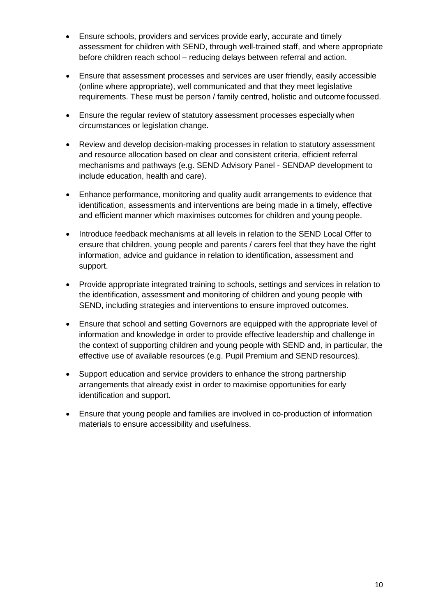- Ensure schools, providers and services provide early, accurate and timely assessment for children with SEND, through well-trained staff, and where appropriate before children reach school – reducing delays between referral and action.
- Ensure that assessment processes and services are user friendly, easily accessible (online where appropriate), well communicated and that they meet legislative requirements. These must be person / family centred, holistic and outcome focussed.
- Ensure the regular review of statutory assessment processes especially when circumstances or legislation change.
- Review and develop decision-making processes in relation to statutory assessment and resource allocation based on clear and consistent criteria, efficient referral mechanisms and pathways (e.g. SEND Advisory Panel - SENDAP development to include education, health and care).
- Enhance performance, monitoring and quality audit arrangements to evidence that identification, assessments and interventions are being made in a timely, effective and efficient manner which maximises outcomes for children and young people.
- Introduce feedback mechanisms at all levels in relation to the SEND Local Offer to ensure that children, young people and parents / carers feel that they have the right information, advice and guidance in relation to identification, assessment and support.
- Provide appropriate integrated training to schools, settings and services in relation to the identification, assessment and monitoring of children and young people with SEND, including strategies and interventions to ensure improved outcomes.
- Ensure that school and setting Governors are equipped with the appropriate level of information and knowledge in order to provide effective leadership and challenge in the context of supporting children and young people with SEND and, in particular, the effective use of available resources (e.g. Pupil Premium and SEND resources).
- Support education and service providers to enhance the strong partnership arrangements that already exist in order to maximise opportunities for early identification and support.
- Ensure that young people and families are involved in co-production of information materials to ensure accessibility and usefulness.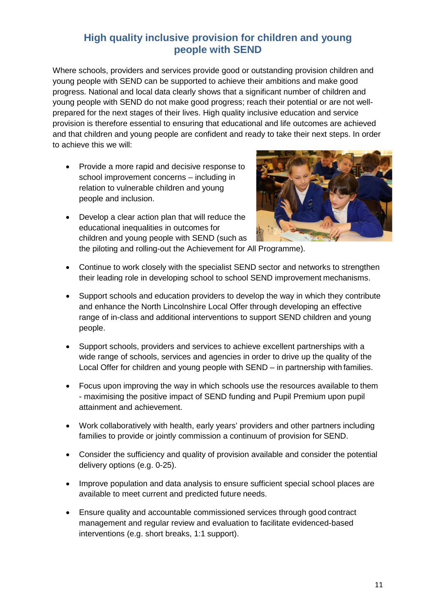## **High quality inclusive provision for children and young people with SEND**

Where schools, providers and services provide good or outstanding provision children and young people with SEND can be supported to achieve their ambitions and make good progress. National and local data clearly shows that a significant number of children and young people with SEND do not make good progress; reach their potential or are not wellprepared for the next stages of their lives. High quality inclusive education and service provision is therefore essential to ensuring that educational and life outcomes are achieved and that children and young people are confident and ready to take their next steps. In order to achieve this we will:

- Provide a more rapid and decisive response to school improvement concerns – including in relation to vulnerable children and young people and inclusion.
- Develop a clear action plan that will reduce the educational inequalities in outcomes for children and young people with SEND (such as the piloting and rolling-out the Achievement for All Programme).



- Continue to work closely with the specialist SEND sector and networks to strengthen their leading role in developing school to school SEND improvement mechanisms.
- Support schools and education providers to develop the way in which they contribute and enhance the North Lincolnshire Local Offer through developing an effective range of in-class and additional interventions to support SEND children and young people.
- Support schools, providers and services to achieve excellent partnerships with a wide range of schools, services and agencies in order to drive up the quality of the Local Offer for children and young people with SEND – in partnership with families.
- Focus upon improving the way in which schools use the resources available to them - maximising the positive impact of SEND funding and Pupil Premium upon pupil attainment and achievement.
- Work collaboratively with health, early years' providers and other partners including families to provide or jointly commission a continuum of provision for SEND.
- Consider the sufficiency and quality of provision available and consider the potential delivery options (e.g. 0-25).
- Improve population and data analysis to ensure sufficient special school places are available to meet current and predicted future needs.
- Ensure quality and accountable commissioned services through good contract management and regular review and evaluation to facilitate evidenced-based interventions (e.g. short breaks, 1:1 support).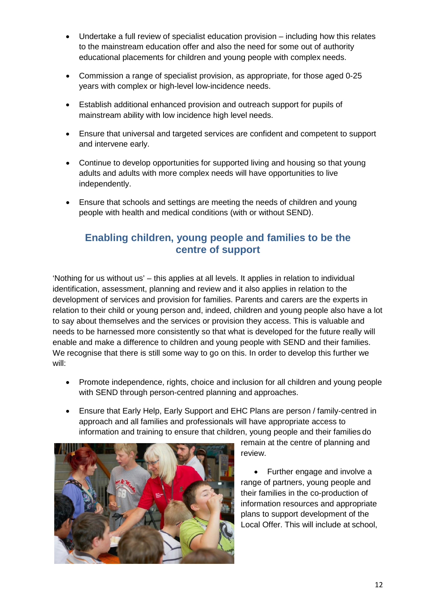- Undertake a full review of specialist education provision including how this relates to the mainstream education offer and also the need for some out of authority educational placements for children and young people with complex needs.
- Commission a range of specialist provision, as appropriate, for those aged 0-25 years with complex or high-level low-incidence needs.
- Establish additional enhanced provision and outreach support for pupils of mainstream ability with low incidence high level needs.
- Ensure that universal and targeted services are confident and competent to support and intervene early.
- Continue to develop opportunities for supported living and housing so that young adults and adults with more complex needs will have opportunities to live independently.
- Ensure that schools and settings are meeting the needs of children and young people with health and medical conditions (with or without SEND).

## **Enabling children, young people and families to be the centre of support**

'Nothing for us without us' – this applies at all levels. It applies in relation to individual identification, assessment, planning and review and it also applies in relation to the development of services and provision for families. Parents and carers are the experts in relation to their child or young person and, indeed, children and young people also have a lot to say about themselves and the services or provision they access. This is valuable and needs to be harnessed more consistently so that what is developed for the future really will enable and make a difference to children and young people with SEND and their families. We recognise that there is still some way to go on this. In order to develop this further we will:

- Promote independence, rights, choice and inclusion for all children and young people with SEND through person-centred planning and approaches.
- Ensure that Early Help, Early Support and EHC Plans are person / family-centred in approach and all families and professionals will have appropriate access to information and training to ensure that children, young people and their families do



remain at the centre of planning and review.

• Further engage and involve a range of partners, young people and their families in the co-production of information resources and appropriate plans to support development of the Local Offer. This will include at school,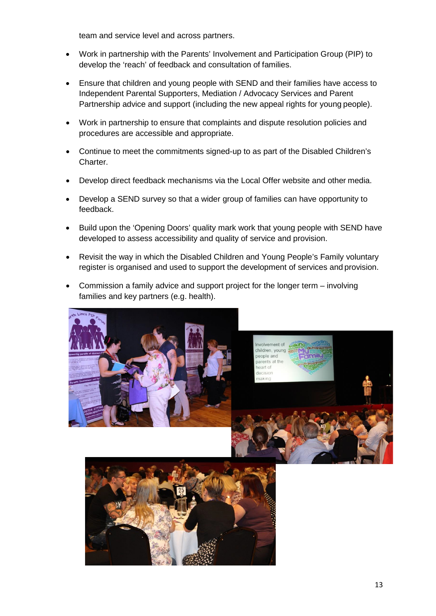team and service level and across partners.

- Work in partnership with the Parents' Involvement and Participation Group (PIP) to develop the 'reach' of feedback and consultation of families.
- Ensure that children and young people with SEND and their families have access to Independent Parental Supporters, Mediation / Advocacy Services and Parent Partnership advice and support (including the new appeal rights for young people).
- Work in partnership to ensure that complaints and dispute resolution policies and procedures are accessible and appropriate.
- Continue to meet the commitments signed-up to as part of the Disabled Children's Charter.
- Develop direct feedback mechanisms via the Local Offer website and other media.
- Develop a SEND survey so that a wider group of families can have opportunity to feedback.
- Build upon the 'Opening Doors' quality mark work that young people with SEND have developed to assess accessibility and quality of service and provision.
- Revisit the way in which the Disabled Children and Young People's Family voluntary register is organised and used to support the development of services and provision.
- Commission a family advice and support project for the longer term involving families and key partners (e.g. health).

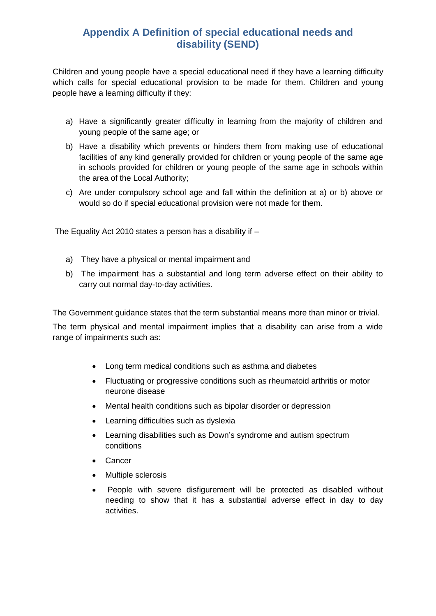## **Appendix A Definition of special educational needs and disability (SEND)**

Children and young people have a special educational need if they have a learning difficulty which calls for special educational provision to be made for them. Children and young people have a learning difficulty if they:

- a) Have a significantly greater difficulty in learning from the majority of children and young people of the same age; or
- b) Have a disability which prevents or hinders them from making use of educational facilities of any kind generally provided for children or young people of the same age in schools provided for children or young people of the same age in schools within the area of the Local Authority;
- c) Are under compulsory school age and fall within the definition at a) or b) above or would so do if special educational provision were not made for them.

The Equality Act 2010 states a person has a disability if  $-$ 

- a) They have a physical or mental impairment and
- b) The impairment has a substantial and long term adverse effect on their ability to carry out normal day-to-day activities.

The Government guidance states that the term substantial means more than minor or trivial.

The term physical and mental impairment implies that a disability can arise from a wide range of impairments such as:

- Long term medical conditions such as asthma and diabetes
- Fluctuating or progressive conditions such as rheumatoid arthritis or motor neurone disease
- Mental health conditions such as bipolar disorder or depression
- Learning difficulties such as dyslexia
- Learning disabilities such as Down's syndrome and autism spectrum conditions
- Cancer
- Multiple sclerosis
- People with severe disfigurement will be protected as disabled without needing to show that it has a substantial adverse effect in day to day activities.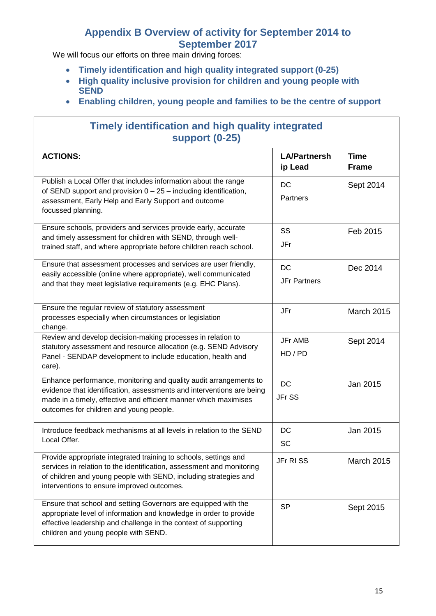## **Appendix B Overview of activity for September 2014 to September 2017**

We will focus our efforts on three main driving forces:

- **Timely identification and high quality integrated support (0-25)**
- **High quality inclusive provision for children and young people with SEND**
- **Enabling children, young people and families to be the centre of support**

| <b>Timely identification and high quality integrated</b><br><b>support (0-25)</b>                                                                                                                                                                           |                                |                             |
|-------------------------------------------------------------------------------------------------------------------------------------------------------------------------------------------------------------------------------------------------------------|--------------------------------|-----------------------------|
| <b>ACTIONS:</b>                                                                                                                                                                                                                                             | <b>LA/Partnersh</b><br>ip Lead | <b>Time</b><br><b>Frame</b> |
| Publish a Local Offer that includes information about the range<br>of SEND support and provision $0 - 25$ – including identification,<br>assessment, Early Help and Early Support and outcome<br>focussed planning.                                         | DC<br>Partners                 | Sept 2014                   |
| Ensure schools, providers and services provide early, accurate<br>and timely assessment for children with SEND, through well-<br>trained staff, and where appropriate before children reach school.                                                         | SS<br>JFr                      | Feb 2015                    |
| Ensure that assessment processes and services are user friendly,<br>easily accessible (online where appropriate), well communicated<br>and that they meet legislative requirements (e.g. EHC Plans).                                                        | DC<br><b>JFr Partners</b>      | Dec 2014                    |
| Ensure the regular review of statutory assessment<br>processes especially when circumstances or legislation<br>change.                                                                                                                                      | JFr                            | March 2015                  |
| Review and develop decision-making processes in relation to<br>statutory assessment and resource allocation (e.g. SEND Advisory<br>Panel - SENDAP development to include education, health and<br>care).                                                    | JFr AMB<br>HD / PD             | Sept 2014                   |
| Enhance performance, monitoring and quality audit arrangements to<br>evidence that identification, assessments and interventions are being<br>made in a timely, effective and efficient manner which maximises<br>outcomes for children and young people.   | DC<br>JFr SS                   | Jan 2015                    |
| Introduce feedback mechanisms at all levels in relation to the SEND<br>Local Offer.                                                                                                                                                                         | DC<br>SC                       | Jan 2015                    |
| Provide appropriate integrated training to schools, settings and<br>services in relation to the identification, assessment and monitoring<br>of children and young people with SEND, including strategies and<br>interventions to ensure improved outcomes. | JFr RISS                       | March 2015                  |
| Ensure that school and setting Governors are equipped with the<br>appropriate level of information and knowledge in order to provide<br>effective leadership and challenge in the context of supporting<br>children and young people with SEND.             | <b>SP</b>                      | Sept 2015                   |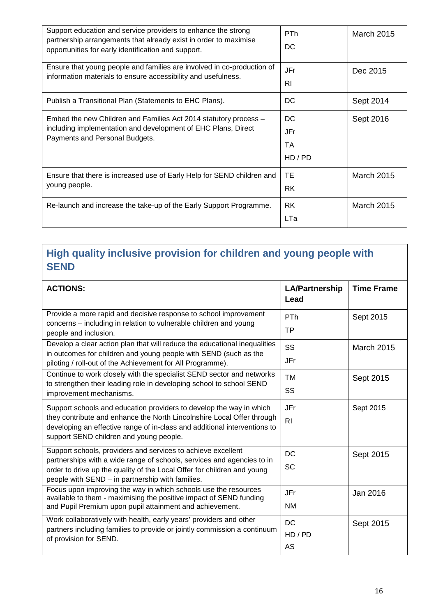| Support education and service providers to enhance the strong<br>partnership arrangements that already exist in order to maximise<br>opportunities for early identification and support. | <b>PTh</b><br>DC             | <b>March 2015</b> |
|------------------------------------------------------------------------------------------------------------------------------------------------------------------------------------------|------------------------------|-------------------|
| Ensure that young people and families are involved in co-production of<br>information materials to ensure accessibility and usefulness.                                                  | JFr<br>RI                    | Dec 2015          |
| Publish a Transitional Plan (Statements to EHC Plans).                                                                                                                                   | DC.                          | Sept 2014         |
| Embed the new Children and Families Act 2014 statutory process -<br>including implementation and development of EHC Plans, Direct<br>Payments and Personal Budgets.                      | DC.<br>JFr<br>TA.<br>HD / PD | Sept 2016         |
| Ensure that there is increased use of Early Help for SEND children and<br>young people.                                                                                                  | ТE<br><b>RK</b>              | <b>March 2015</b> |
| Re-launch and increase the take-up of the Early Support Programme.                                                                                                                       | <b>RK</b><br>LTa             | <b>March 2015</b> |

## **High quality inclusive provision for children and young people with SEND**

| <b>ACTIONS:</b>                                                                                                                                                                                                                                                       | <b>LA/Partnership</b><br>Lead | <b>Time Frame</b> |
|-----------------------------------------------------------------------------------------------------------------------------------------------------------------------------------------------------------------------------------------------------------------------|-------------------------------|-------------------|
| Provide a more rapid and decisive response to school improvement<br>concerns - including in relation to vulnerable children and young<br>people and inclusion.                                                                                                        | PTh<br>TP                     | Sept 2015         |
| Develop a clear action plan that will reduce the educational inequalities<br>in outcomes for children and young people with SEND (such as the<br>piloting / roll-out of the Achievement for All Programme).                                                           | SS<br>JFr                     | <b>March 2015</b> |
| Continue to work closely with the specialist SEND sector and networks<br>to strengthen their leading role in developing school to school SEND<br>improvement mechanisms.                                                                                              | <b>TM</b><br>SS               | Sept 2015         |
| Support schools and education providers to develop the way in which<br>they contribute and enhance the North Lincolnshire Local Offer through<br>developing an effective range of in-class and additional interventions to<br>support SEND children and young people. | JFr<br>R <sub>l</sub>         | Sept 2015         |
| Support schools, providers and services to achieve excellent<br>partnerships with a wide range of schools, services and agencies to in<br>order to drive up the quality of the Local Offer for children and young<br>people with SEND - in partnership with families. | <b>DC</b><br><b>SC</b>        | Sept 2015         |
| Focus upon improving the way in which schools use the resources<br>available to them - maximising the positive impact of SEND funding<br>and Pupil Premium upon pupil attainment and achievement.                                                                     | JFr<br><b>NM</b>              | Jan 2016          |
| Work collaboratively with health, early years' providers and other<br>partners including families to provide or jointly commission a continuum<br>of provision for SEND.                                                                                              | <b>DC</b><br>HD / PD<br>AS    | Sept 2015         |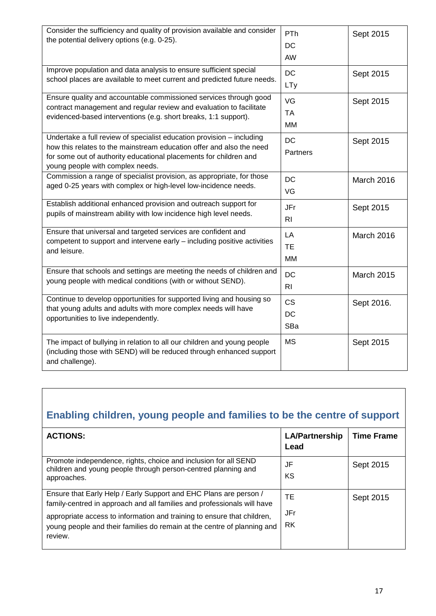| Consider the sufficiency and quality of provision available and consider<br>the potential delivery options (e.g. 0-25).                                                                                                                                | PTh<br>DC<br>AW             | Sept 2015         |
|--------------------------------------------------------------------------------------------------------------------------------------------------------------------------------------------------------------------------------------------------------|-----------------------------|-------------------|
| Improve population and data analysis to ensure sufficient special<br>school places are available to meet current and predicted future needs.                                                                                                           | DC<br><b>LTy</b>            | Sept 2015         |
| Ensure quality and accountable commissioned services through good<br>contract management and regular review and evaluation to facilitate<br>evidenced-based interventions (e.g. short breaks, 1:1 support).                                            | VG<br><b>TA</b><br>MM       | Sept 2015         |
| Undertake a full review of specialist education provision - including<br>how this relates to the mainstream education offer and also the need<br>for some out of authority educational placements for children and<br>young people with complex needs. | <b>DC</b><br>Partners       | Sept 2015         |
| Commission a range of specialist provision, as appropriate, for those<br>aged 0-25 years with complex or high-level low-incidence needs.                                                                                                               | <b>DC</b><br>VG             | March 2016        |
| Establish additional enhanced provision and outreach support for<br>pupils of mainstream ability with low incidence high level needs.                                                                                                                  | JFr<br>R <sub>l</sub>       | Sept 2015         |
| Ensure that universal and targeted services are confident and<br>competent to support and intervene early - including positive activities<br>and leisure.                                                                                              | LA<br><b>TE</b><br>MM       | March 2016        |
| Ensure that schools and settings are meeting the needs of children and<br>young people with medical conditions (with or without SEND).                                                                                                                 | <b>DC</b><br>R <sub>l</sub> | <b>March 2015</b> |
| Continue to develop opportunities for supported living and housing so<br>that young adults and adults with more complex needs will have<br>opportunities to live independently.                                                                        | <b>CS</b><br>DC<br>SBa      | Sept 2016.        |
| The impact of bullying in relation to all our children and young people<br>(including those with SEND) will be reduced through enhanced support<br>and challenge).                                                                                     | <b>MS</b>                   | Sept 2015         |

# **Enabling children, young people and families to be the centre of support**

| <b>ACTIONS:</b>                                                                                                                                                                                                                                                                                               | <b>LA/Partnership</b><br>Lead | <b>Time Frame</b> |
|---------------------------------------------------------------------------------------------------------------------------------------------------------------------------------------------------------------------------------------------------------------------------------------------------------------|-------------------------------|-------------------|
| Promote independence, rights, choice and inclusion for all SEND<br>children and young people through person-centred planning and<br>approaches.                                                                                                                                                               | JF<br>ΚS                      | Sept 2015         |
| Ensure that Early Help / Early Support and EHC Plans are person /<br>family-centred in approach and all families and professionals will have<br>appropriate access to information and training to ensure that children,<br>young people and their families do remain at the centre of planning and<br>review. | TE<br>JFr<br><b>RK</b>        | Sept 2015         |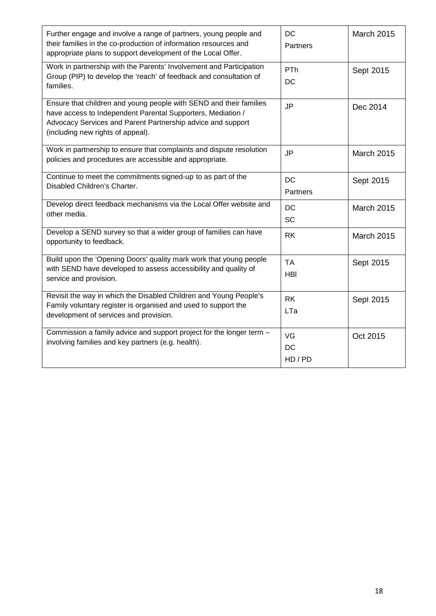| Further engage and involve a range of partners, young people and<br>their families in the co-production of information resources and<br>appropriate plans to support development of the Local Offer.                                  | <b>DC</b><br>Partners   | <b>March 2015</b> |
|---------------------------------------------------------------------------------------------------------------------------------------------------------------------------------------------------------------------------------------|-------------------------|-------------------|
| Work in partnership with the Parents' Involvement and Participation<br>Group (PIP) to develop the 'reach' of feedback and consultation of<br>families.                                                                                | PTh<br>DC               | Sept 2015         |
| Ensure that children and young people with SEND and their families<br>have access to Independent Parental Supporters, Mediation /<br>Advocacy Services and Parent Partnership advice and support<br>(including new rights of appeal). | <b>JP</b>               | Dec 2014          |
| Work in partnership to ensure that complaints and dispute resolution<br>policies and procedures are accessible and appropriate.                                                                                                       | <b>JP</b>               | March 2015        |
| Continue to meet the commitments signed-up to as part of the<br>Disabled Children's Charter.                                                                                                                                          | <b>DC</b><br>Partners   | Sept 2015         |
| Develop direct feedback mechanisms via the Local Offer website and<br>other media.                                                                                                                                                    | <b>DC</b><br><b>SC</b>  | March 2015        |
| Develop a SEND survey so that a wider group of families can have<br>opportunity to feedback.                                                                                                                                          | <b>RK</b>               | March 2015        |
| Build upon the 'Opening Doors' quality mark work that young people<br>with SEND have developed to assess accessibility and quality of<br>service and provision.                                                                       | <b>TA</b><br><b>HBI</b> | Sept 2015         |
| Revisit the way in which the Disabled Children and Young People's<br>Family voluntary register is organised and used to support the<br>development of services and provision.                                                         | <b>RK</b><br>LTa        | Sept 2015         |
| Commission a family advice and support project for the longer term -<br>involving families and key partners (e.g. health).                                                                                                            | VG<br>DC<br>HD / PD     | Oct 2015          |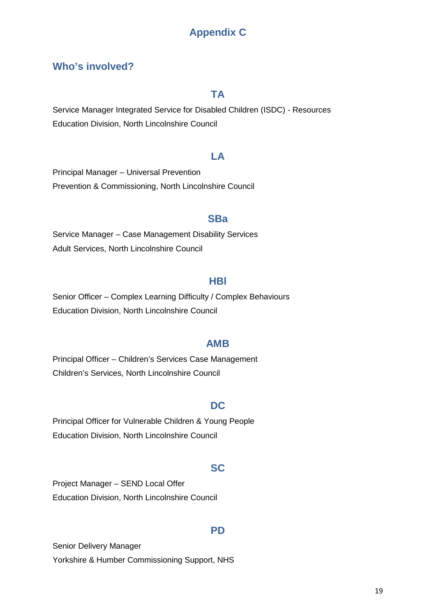## **Appendix C**

#### **Who's involved?**

#### **TA**

Service Manager Integrated Service for Disabled Children (ISDC) - Resources Education Division, North Lincolnshire Council

#### **LA**

Principal Manager – Universal Prevention Prevention & Commissioning, North Lincolnshire Council

#### **SBa**

Service Manager – Case Management Disability Services Adult Services, North Lincolnshire Council

#### **HBl**

Senior Officer – Complex Learning Difficulty / Complex Behaviours Education Division, North Lincolnshire Council

#### **AMB**

Principal Officer – Children's Services Case Management Children's Services, North Lincolnshire Council

#### **DC**

Principal Officer for Vulnerable Children & Young People Education Division, North Lincolnshire Council

#### **SC**

Project Manager – SEND Local Offer Education Division, North Lincolnshire Council

#### **PD**

Senior Delivery Manager Yorkshire & Humber Commissioning Support, NHS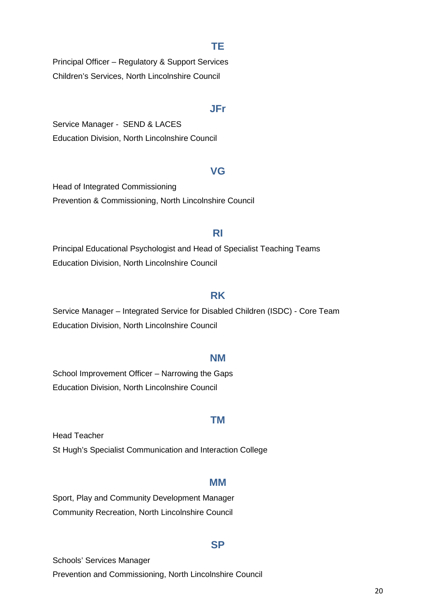#### **TE**

Principal Officer – Regulatory & Support Services Children's Services, North Lincolnshire Council

#### **JFr**

Service Manager - SEND & LACES Education Division, North Lincolnshire Council

#### **VG**

Head of Integrated Commissioning Prevention & Commissioning, North Lincolnshire Council

#### **RI**

Principal Educational Psychologist and Head of Specialist Teaching Teams Education Division, North Lincolnshire Council

#### **RK**

Service Manager – Integrated Service for Disabled Children (ISDC) - Core Team Education Division, North Lincolnshire Council

#### **NM**

School Improvement Officer – Narrowing the Gaps Education Division, North Lincolnshire Council

#### **TM**

Head Teacher St Hugh's Specialist Communication and Interaction College

#### **MM**

Sport, Play and Community Development Manager Community Recreation, North Lincolnshire Council

#### **SP**

Schools' Services Manager Prevention and Commissioning, North Lincolnshire Council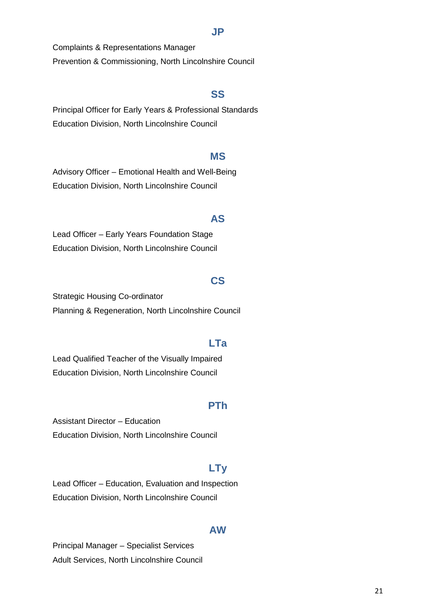#### **JP**

Complaints & Representations Manager Prevention & Commissioning, North Lincolnshire Council

#### **SS**

Principal Officer for Early Years & Professional Standards Education Division, North Lincolnshire Council

#### **MS**

Advisory Officer – Emotional Health and Well-Being Education Division, North Lincolnshire Council

#### **AS**

Lead Officer – Early Years Foundation Stage Education Division, North Lincolnshire Council

#### **CS**

Strategic Housing Co-ordinator Planning & Regeneration, North Lincolnshire Council

#### **LTa**

Lead Qualified Teacher of the Visually Impaired Education Division, North Lincolnshire Council

#### **PTh**

Assistant Director – Education Education Division, North Lincolnshire Council

#### **LTy**

Lead Officer – Education, Evaluation and Inspection Education Division, North Lincolnshire Council

#### **AW**

Principal Manager – Specialist Services Adult Services, North Lincolnshire Council